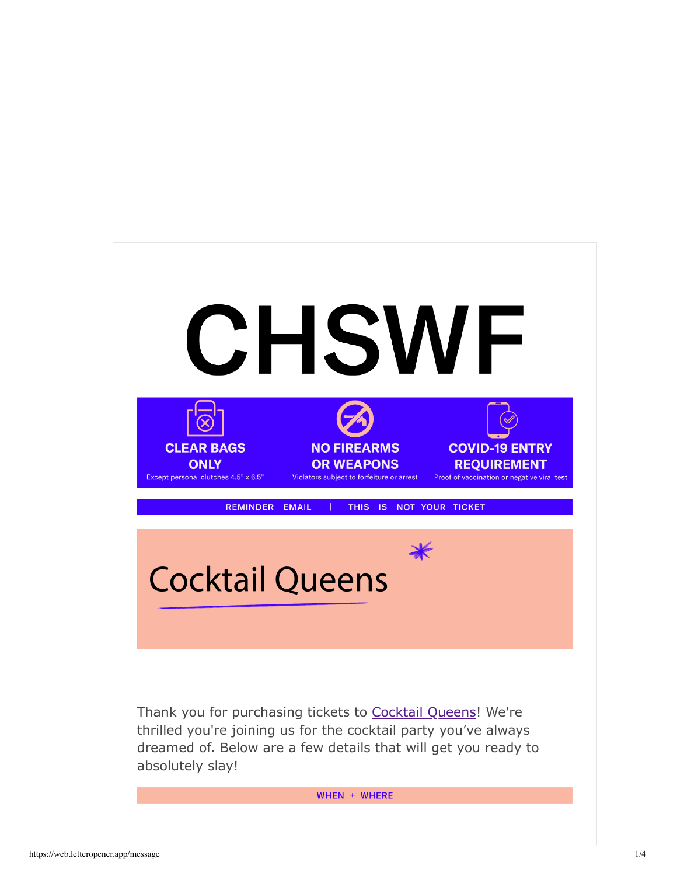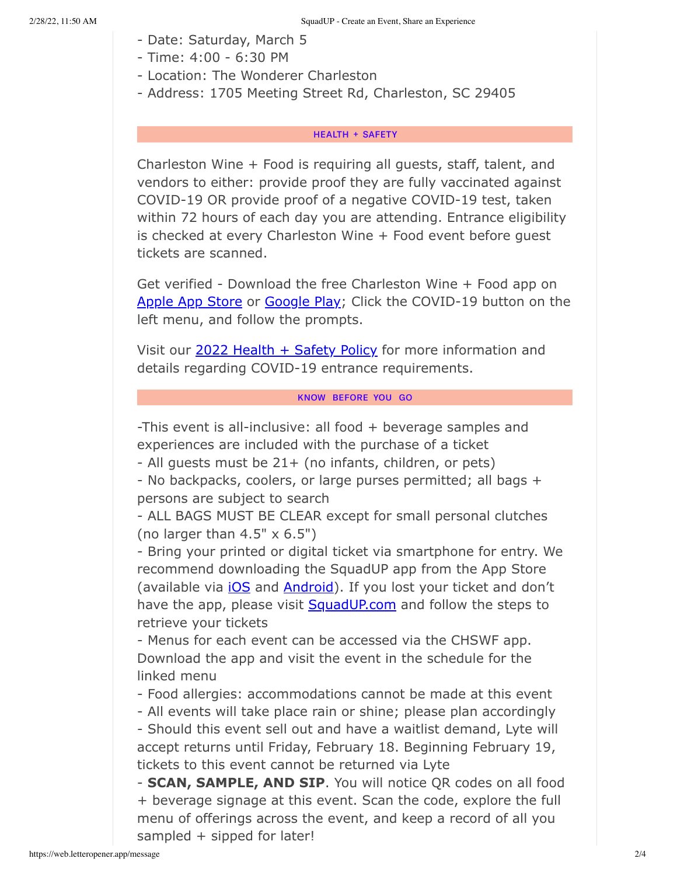- Date: Saturday, March 5
- Time: 4:00 6:30 PM
- Location: The Wonderer Charleston
- Address: 1705 Meeting Street Rd, Charleston, SC 29405

# **HEALTH + SAFETY**

Charleston Wine + Food is requiring all guests, staff, talent, and vendors to either: provide proof they are fully vaccinated against COVID-19 OR provide proof of a negative COVID-19 test, taken within 72 hours of each day you are attending. Entrance eligibility is checked at every Charleston Wine + Food event before guest tickets are scanned.

Get verified - Download the free Charleston Wine + Food app on Apple App Store or Google Play; Click the COVID-19 button on the left menu, and follow the prompts.

Visit our 2022 Health + Safety Policy for more information and details regarding COVID-19 entrance requirements.

# KNOW BEFORE YOU GO

-This event is all-inclusive: all food + beverage samples and experiences are included with the purchase of a ticket

- All guests must be 21+ (no infants, children, or pets)

- No backpacks, coolers, or large purses permitted; all bags + persons are subject to search

- ALL BAGS MUST BE CLEAR except for small personal clutches (no larger than  $4.5" \times 6.5"$ )

- Bring your printed or digital ticket via smartphone for entry. We recommend downloading the SquadUP app from the App Store (available via *iOS* and **Android**). If you lost your ticket and don't have the app, please visit SquadUP.com and follow the steps to retrieve your tickets

- Menus for each event can be accessed via the CHSWF app. Download the app and visit the event in the schedule for the linked menu

- Food allergies: accommodations cannot be made at this event

- All events will take place rain or shine; please plan accordingly

- Should this event sell out and have a waitlist demand, Lyte will accept returns until Friday, February 18. Beginning February 19, tickets to this event cannot be returned via Lyte

- **SCAN, SAMPLE, AND SIP**. You will notice QR codes on all food + beverage signage at this event. Scan the code, explore the full menu of offerings across the event, and keep a record of all you sampled + sipped for later!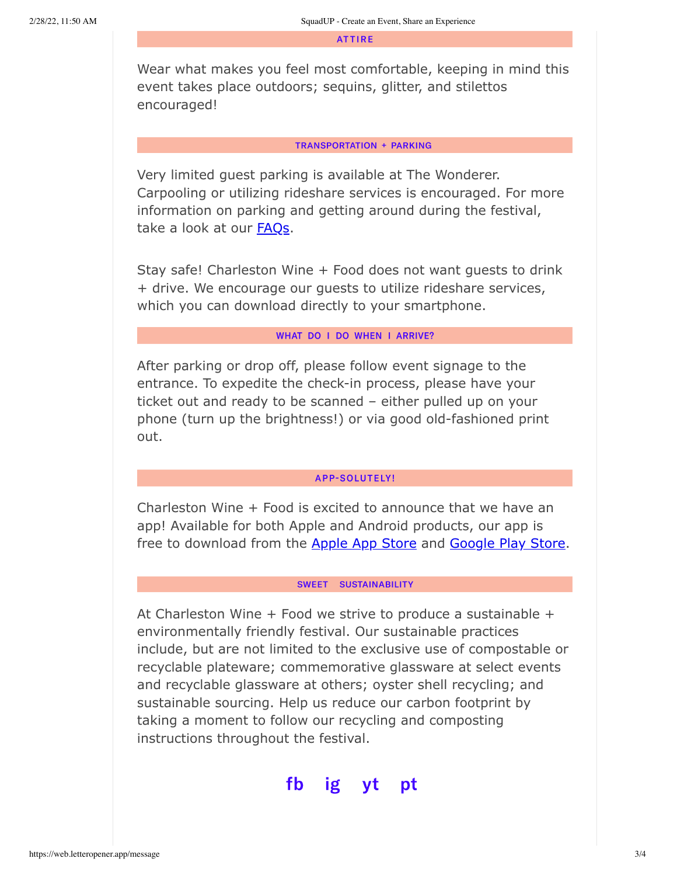**ATTIRE** 

Wear what makes you feel most comfortable, keeping in mind this event takes place outdoors; sequins, glitter, and stilettos encouraged!

#### **TRANSPORTATION + PARKING**

Very limited guest parking is available at The Wonderer. Carpooling or utilizing rideshare services is encouraged. For more information on parking and getting around during the festival, take a look at our FAQs.

Stay safe! Charleston Wine + Food does not want guests to drink + drive. We encourage our guests to utilize rideshare services, which you can download directly to your smartphone.

# WHAT DO I DO WHEN I ARRIVE?

After parking or drop off, please follow event signage to the entrance. To expedite the check-in process, please have your ticket out and ready to be scanned – either pulled up on your phone (turn up the brightness!) or via good old-fashioned print out.

## **APP-SOLUTELY!**

Charleston Wine + Food is excited to announce that we have an app! Available for both Apple and Android products, our app is free to download from the Apple App Store and Google Play Store.

### SWEET SUSTAINABILITY

At Charleston Wine + Food we strive to produce a sustainable + environmentally friendly festival. Our sustainable practices include, but are not limited to the exclusive use of compostable or recyclable plateware; commemorative glassware at select events and recyclable glassware at others; oyster shell recycling; and sustainable sourcing. Help us reduce our carbon footprint by taking a moment to follow our recycling and composting instructions throughout the festival.

#### fb ig pt vt.